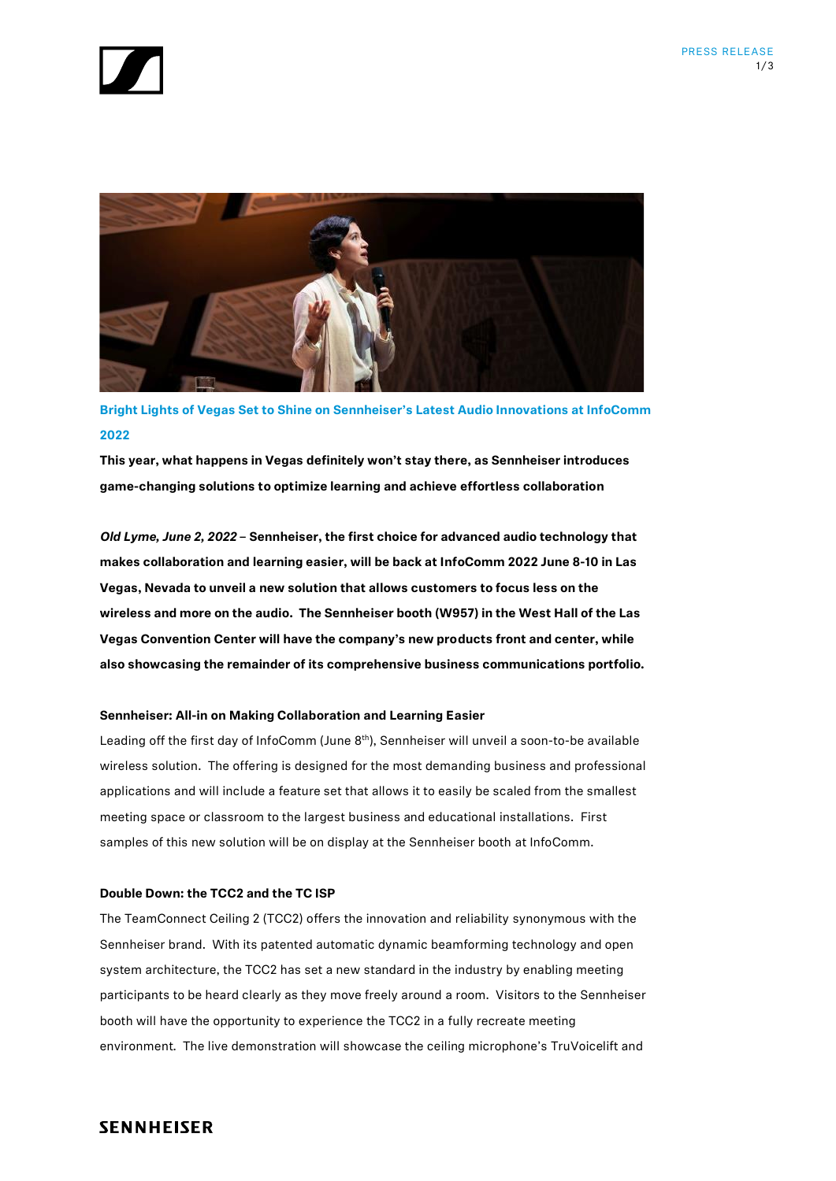



**Bright Lights of Vegas Set to Shine on Sennheiser's Latest Audio Innovations at InfoComm 2022**

**This year, what happens in Vegas definitely won't stay there, as Sennheiser introduces game-changing solutions to optimize learning and achieve effortless collaboration**

*Old Lyme, June 2, 2022* **– Sennheiser, the first choice for advanced audio technology that makes collaboration and learning easier, will be back at InfoComm 2022 June 8-10 in Las Vegas, Nevada to unveil a new solution that allows customers to focus less on the wireless and more on the audio. The Sennheiser booth (W957) in the West Hall of the Las Vegas Convention Center will have the company's new products front and center, while also showcasing the remainder of its comprehensive business communications portfolio.**

## **Sennheiser: All-in on Making Collaboration and Learning Easier**

Leading off the first day of InfoComm (June 8<sup>th</sup>), Sennheiser will unveil a soon-to-be available wireless solution. The offering is designed for the most demanding business and professional applications and will include a feature set that allows it to easily be scaled from the smallest meeting space or classroom to the largest business and educational installations. First samples of this new solution will be on display at the Sennheiser booth at InfoComm.

## **Double Down: the TCC2 and the TC ISP**

The TeamConnect Ceiling 2 (TCC2) offers the innovation and reliability synonymous with the Sennheiser brand. With its patented automatic dynamic beamforming technology and open system architecture, the TCC2 has set a new standard in the industry by enabling meeting participants to be heard clearly as they move freely around a room. Visitors to the Sennheiser booth will have the opportunity to experience the TCC2 in a fully recreate meeting environment. The live demonstration will showcase the ceiling microphone's TruVoicelift and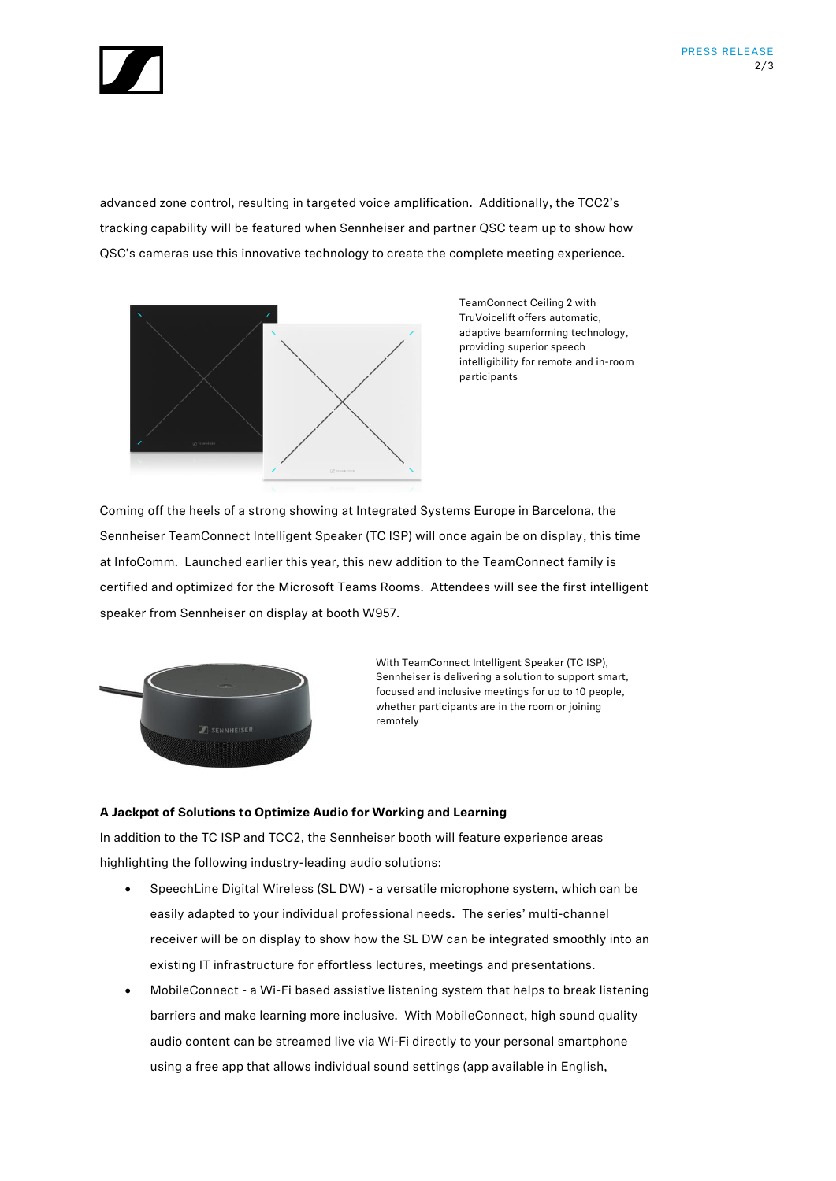

advanced zone control, resulting in targeted voice amplification. Additionally, the TCC2's tracking capability will be featured when Sennheiser and partner QSC team up to show how QSC's cameras use this innovative technology to create the complete meeting experience.



TeamConnect Ceiling 2 with TruVoicelift offers automatic, adaptive beamforming technology, providing superior speech intelligibility for remote and in-room participants

Coming off the heels of a strong showing at Integrated Systems Europe in Barcelona, the Sennheiser TeamConnect Intelligent Speaker (TC ISP) will once again be on display, this time at InfoComm. Launched earlier this year, this new addition to the TeamConnect family is certified and optimized for the Microsoft Teams Rooms. Attendees will see the first intelligent speaker from Sennheiser on display at booth W957.



With TeamConnect Intelligent Speaker (TC ISP), Sennheiser is delivering a solution to support smart, focused and inclusive meetings for up to 10 people, whether participants are in the room or joining remotely

## **A Jackpot of Solutions to Optimize Audio for Working and Learning**

In addition to the TC ISP and TCC2, the Sennheiser booth will feature experience areas highlighting the following industry-leading audio solutions:

- SpeechLine Digital Wireless (SL DW) a versatile microphone system, which can be easily adapted to your individual professional needs. The series' multi-channel receiver will be on display to show how the SL DW can be integrated smoothly into an existing IT infrastructure for effortless lectures, meetings and presentations.
- MobileConnect a Wi-Fi based assistive listening system that helps to break listening barriers and make learning more inclusive. With MobileConnect, high sound quality audio content can be streamed live via Wi-Fi directly to your personal smartphone using a free app that allows individual sound settings (app available in English,